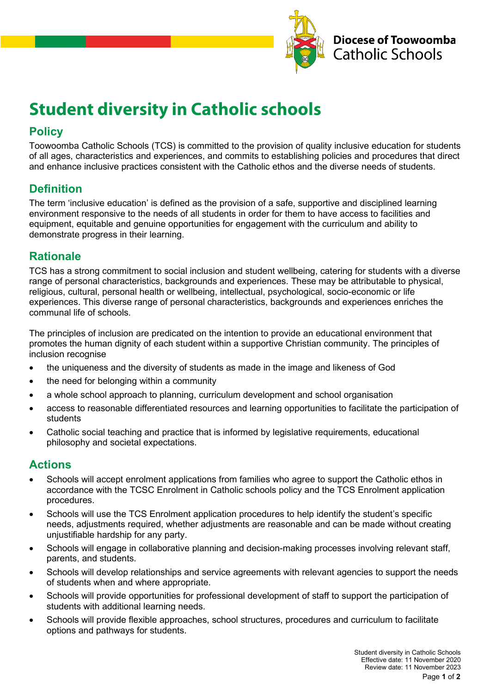

# **Student diversity in Catholic schools**

## **Policy**

Toowoomba Catholic Schools (TCS) is committed to the provision of quality inclusive education for students of all ages, characteristics and experiences, and commits to establishing policies and procedures that direct and enhance inclusive practices consistent with the Catholic ethos and the diverse needs of students.

### **Definition**

The term 'inclusive education' is defined as the provision of a safe, supportive and disciplined learning environment responsive to the needs of all students in order for them to have access to facilities and equipment, equitable and genuine opportunities for engagement with the curriculum and ability to demonstrate progress in their learning.

### **Rationale**

TCS has a strong commitment to social inclusion and student wellbeing, catering for students with a diverse range of personal characteristics, backgrounds and experiences. These may be attributable to physical, religious, cultural, personal health or wellbeing, intellectual, psychological, socio-economic or life experiences. This diverse range of personal characteristics, backgrounds and experiences enriches the communal life of schools.

The principles of inclusion are predicated on the intention to provide an educational environment that promotes the human dignity of each student within a supportive Christian community. The principles of inclusion recognise

- the uniqueness and the diversity of students as made in the image and likeness of God
- the need for belonging within a community
- a whole school approach to planning, curriculum development and school organisation
- access to reasonable differentiated resources and learning opportunities to facilitate the participation of students
- Catholic social teaching and practice that is informed by legislative requirements, educational philosophy and societal expectations.

#### **Actions**

- Schools will accept enrolment applications from families who agree to support the Catholic ethos in accordance with the TCSC Enrolment in Catholic schools policy and the TCS Enrolment application procedures.
- Schools will use the TCS Enrolment application procedures to help identify the student's specific needs, adjustments required, whether adjustments are reasonable and can be made without creating unjustifiable hardship for any party.
- Schools will engage in collaborative planning and decision-making processes involving relevant staff, parents, and students.
- Schools will develop relationships and service agreements with relevant agencies to support the needs of students when and where appropriate.
- Schools will provide opportunities for professional development of staff to support the participation of students with additional learning needs.
- Schools will provide flexible approaches, school structures, procedures and curriculum to facilitate options and pathways for students.